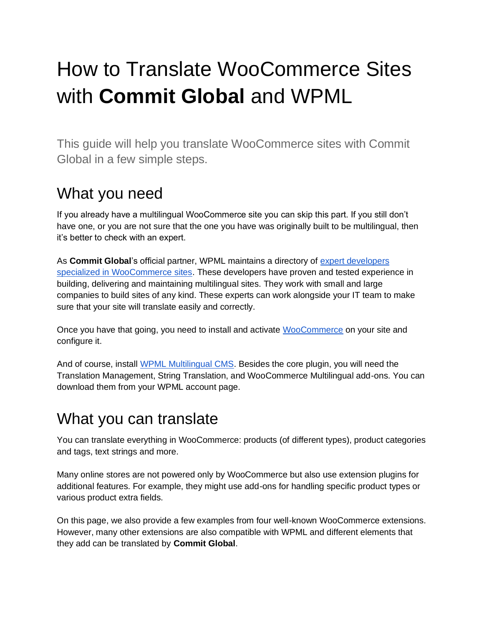# How to Translate WooCommerce Sites with **Commit Global** and WPML

This guide will help you translate WooCommerce sites with Commit Global in a few simple steps.

#### What you need

If you already have a multilingual WooCommerce site you can skip this part. If you still don't have one, or you are not sure that the one you have was originally built to be multilingual, then it's better to check with an expert.

As **Commit Global**'s official partner, WPML maintains a directory of [expert developers](https://wpml.org/contractors/?wpv-site-category%5B%5D=e-commerce/?tsid=14dde982a9f3acf6c185ab11b06cb41c)  [specialized in WooCommerce sites.](https://wpml.org/contractors/?wpv-site-category%5B%5D=e-commerce/?tsid=14dde982a9f3acf6c185ab11b06cb41c) These developers have proven and tested experience in building, delivering and maintaining multilingual sites. They work with small and large companies to build sites of any kind. These experts can work alongside your IT team to make sure that your site will translate easily and correctly.

Once you have that going, you need to install and activate [WooCommerce](https://wordpress.org/plugins/woocommerce/?tsid=14dde982a9f3acf6c185ab11b06cb41c) on your site and configure it.

And of course, install [WPML Multilingual CMS.](https://wpml.org/purchase?tsid=14dde982a9f3acf6c185ab11b06cb41c) Besides the core plugin, you will need the Translation Management, String Translation, and WooCommerce Multilingual add-ons. You can download them from your WPML account page.

#### What you can translate

You can translate everything in WooCommerce: products (of different types), product categories and tags, text strings and more.

Many online stores are not powered only by WooCommerce but also use extension plugins for additional features. For example, they might use add-ons for handling specific product types or various product extra fields.

On this page, we also provide a few examples from four well-known WooCommerce extensions. However, many other extensions are also compatible with WPML and different elements that they add can be translated by **Commit Global**.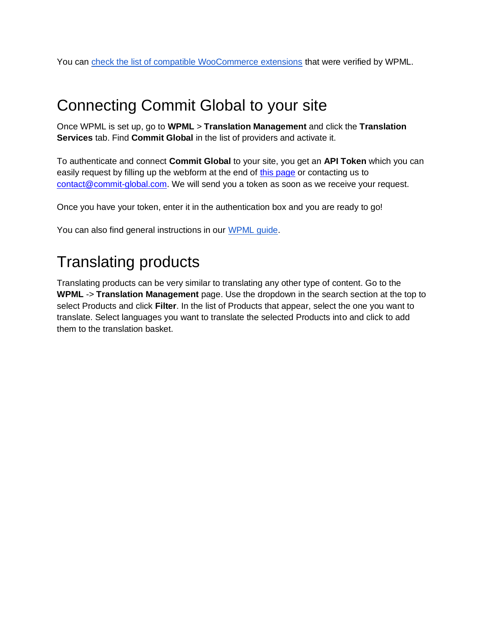You can [check the list of compatible WooCommerce extensions](https://wpml.org/documentation/woocommerce-extensions-compatibiity?tsid=14dde982a9f3acf6c185ab11b06cb41c) that were verified by WPML.

### Connecting Commit Global to your site

Once WPML is set up, go to **WPML** > **Translation Management** and click the **Translation Services** tab. Find **Commit Global** in the list of providers and activate it.

To authenticate and connect **Commit Global** to your site, you get an **API Token** which you can easily request by filling up the webform at the end of [this page](https://commit-global.com/services-wordpress-localization/) or contacting us to [contact@commit-global.com.](mailto:contact@commit-global.com) We will send you a token as soon as we receive your request.

Once you have your token, enter it in the authentication box and you are ready to go!

You can also find general instructions in our [WPML guide.](https://wpml.org/translation-service/?tsid=14dde982a9f3acf6c185ab11b06cb41c)

# Translating products

Translating products can be very similar to translating any other type of content. Go to the **WPML** -> **Translation Management** page. Use the dropdown in the search section at the top to select Products and click **Filter**. In the list of Products that appear, select the one you want to translate. Select languages you want to translate the selected Products into and click to add them to the translation basket.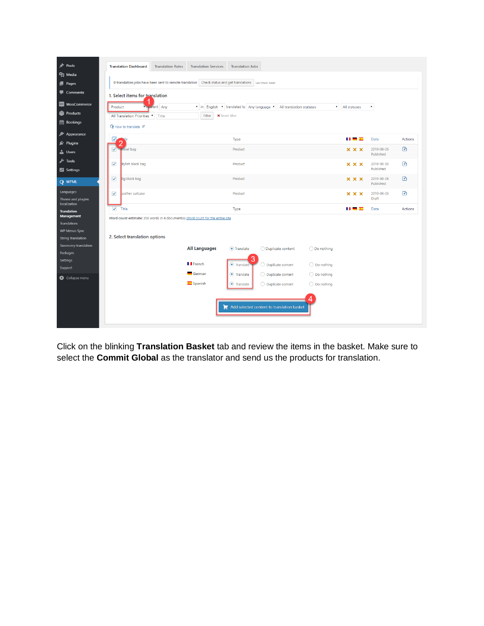

Click on the blinking **Translation Basket** tab and review the items in the basket. Make sure to select the **Commit Global** as the translator and send us the products for translation.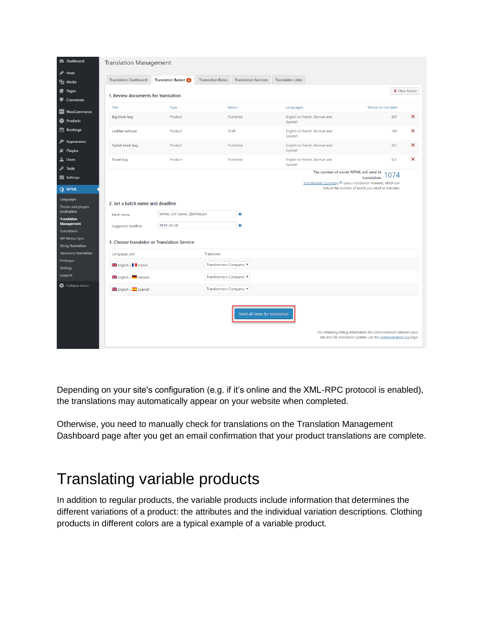| <b>B</b> Dashboard                                                                                                                                                                                    | <b>Translation Management</b>                                                                                         |                                       |                                                         |                                                                                                       |                                                                                                                                     |
|-------------------------------------------------------------------------------------------------------------------------------------------------------------------------------------------------------|-----------------------------------------------------------------------------------------------------------------------|---------------------------------------|---------------------------------------------------------|-------------------------------------------------------------------------------------------------------|-------------------------------------------------------------------------------------------------------------------------------------|
| Posts<br><b>乌</b> ] Media                                                                                                                                                                             | <b>Translation Dashboard</b>                                                                                          | <b>Translation Basket</b>             | <b>Translation Roles</b><br><b>Translation Services</b> | <b>Translation Jobs</b>                                                                               |                                                                                                                                     |
| <b>Pages</b><br>Comments                                                                                                                                                                              | 1. Review documents for translation                                                                                   |                                       |                                                         |                                                                                                       | X Clear Basket                                                                                                                      |
| <b>M89</b> WooCommerce                                                                                                                                                                                | Title                                                                                                                 | Type                                  | Status                                                  | Languages                                                                                             | Words to translate                                                                                                                  |
| Products                                                                                                                                                                                              | <b>Big black bag</b>                                                                                                  | Product                               | Published                                               | English to French, German and<br>Spanish                                                              | $\times$<br>207                                                                                                                     |
| <b>图 Bookings</b>                                                                                                                                                                                     | Leather suitcase                                                                                                      | Product                               | Draft                                                   | English to French, German and<br>Spanish                                                              | ×<br>189                                                                                                                            |
| Appearance<br>Plugins                                                                                                                                                                                 | Stylish black bag                                                                                                     | Product                               | Published                                               | English to French, German and<br>Spanish                                                              | $\times$<br>357                                                                                                                     |
| <b>L</b> Users<br><b>A</b> Tools                                                                                                                                                                      | <b>Travel bag</b>                                                                                                     | Product                               | Published                                               | English to French, German and<br>Spanish                                                              | ×<br>321                                                                                                                            |
| <b>En</b> Settings<br><b>Q</b> WPML<br>Languages<br>Theme and plugins<br>localization<br><b>Translation</b><br>Management<br><b>Translations</b><br><b>WP Menus Sync</b><br><b>String Translation</b> | 2. Set a batch name and deadline<br>Batch name:<br>Suggested deadline:<br>3. Choose translator or Translation Service | WPML LSP Demo 2 WPML en<br>2019-08-28 | ❸<br>0                                                  | The number of words WPML will send to<br>Transformers Company La uses a translation memory, which can | 074<br>translation:<br>reduce the number of words you need to translate.                                                            |
| Taxonomy translation                                                                                                                                                                                  | Language pair                                                                                                         |                                       | Translator                                              |                                                                                                       |                                                                                                                                     |
| Packages<br>Settings                                                                                                                                                                                  | English » II French                                                                                                   |                                       | Transformers Company ▼                                  |                                                                                                       |                                                                                                                                     |
| Support                                                                                                                                                                                               | English » German                                                                                                      |                                       | Transformers Company ▼                                  |                                                                                                       |                                                                                                                                     |
| Collapse menu                                                                                                                                                                                         | Spanish » <a>Spanish</a>                                                                                              |                                       | Transformers Company ▼                                  |                                                                                                       |                                                                                                                                     |
|                                                                                                                                                                                                       |                                                                                                                       |                                       | Send all items for translation                          |                                                                                                       | For retrieving debug information for communication between your<br>site and the translation system, use the communication log page. |

Depending on your site's configuration (e.g. if it's online and the XML-RPC protocol is enabled), the translations may automatically appear on your website when completed.

Otherwise, you need to manually check for translations on the Translation Management Dashboard page after you get an email confirmation that your product translations are complete.

### Translating variable products

In addition to regular products, the variable products include information that determines the different variations of a product: the attributes and the individual variation descriptions. Clothing products in different colors are a typical example of a variable product.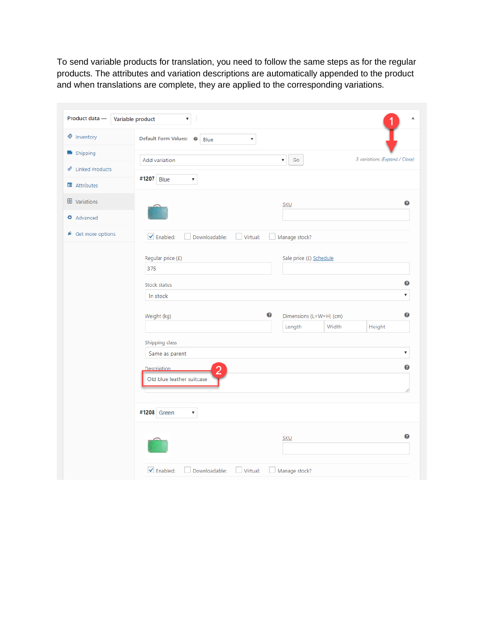To send variable products for translation, you need to follow the same steps as for the regular products. The attributes and variation descriptions are automatically appended to the product and when translations are complete, they are applied to the corresponding variations.

| nventory                                 | Default Form Values: <sup>@</sup><br>▼<br>Blue                    |   |                                     |       |                               |
|------------------------------------------|-------------------------------------------------------------------|---|-------------------------------------|-------|-------------------------------|
| shipping                                 | Add variation                                                     |   | $\mathsf{Go}$<br>$\pmb{\mathrm{v}}$ |       | 3 variations (Expand / Close) |
| ℰ<br><b>Linked Products</b>              | #1207 Blue<br>$\overline{\mathbf v}$                              |   |                                     |       |                               |
| <b>国</b> Attributes                      |                                                                   |   |                                     |       |                               |
| <b>EE</b> Variations                     |                                                                   |   | SKU                                 |       | 3                             |
| <b><math>\Phi</math></b> Advanced        |                                                                   |   |                                     |       |                               |
| $\mathbf{\not{\!\! E}}$ Get more options | $\blacktriangleright$ Enabled:<br>Downloadable:<br>Virtual:<br>n. |   | Manage stock?                       |       |                               |
|                                          |                                                                   |   |                                     |       |                               |
|                                          | Regular price (£)<br>375                                          |   | Sale price (£) Schedule             |       |                               |
|                                          | Stock status                                                      |   |                                     |       | ℯ                             |
|                                          | In stock                                                          |   |                                     |       | $\overline{\mathbf{v}}$       |
|                                          | Weight (kg)                                                       | ❸ | Dimensions (L×W×H) (cm)             |       | ❸                             |
|                                          |                                                                   |   | Length                              | Width | Height                        |
|                                          | Shipping class                                                    |   |                                     |       |                               |
|                                          | Same as parent                                                    |   |                                     |       | $\pmb{\mathbb{v}}$            |
|                                          | <b>Description</b><br>$\overline{2}$                              |   |                                     |       | ❸                             |
|                                          | Old blue leather suitcase                                         |   |                                     |       |                               |
|                                          |                                                                   |   |                                     |       |                               |
|                                          | #1208 Green<br>$\pmb{\mathrm{v}}$                                 |   |                                     |       |                               |
|                                          |                                                                   |   | <b>SKU</b>                          |       | ℯ                             |
|                                          |                                                                   |   |                                     |       |                               |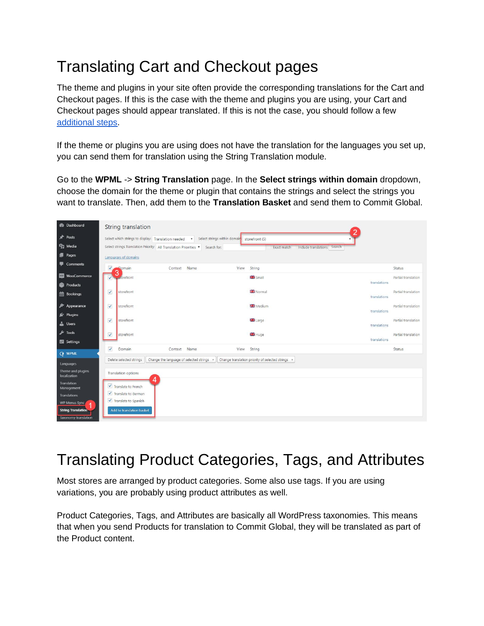# Translating Cart and Checkout pages

The theme and plugins in your site often provide the corresponding translations for the Cart and Checkout pages. If this is the case with the theme and plugins you are using, your Cart and Checkout pages should appear translated. If this is not the case, you should follow a fe[w](https://wpml.org/documentation/related-projects/woocommerce-multilingual/translating-cart-and-checkout-pages/#themes-and-plugins-that-provide-translations/?tsid=14dde982a9f3acf6c185ab11b06cb41c) [additional steps.](https://wpml.org/documentation/related-projects/woocommerce-multilingual/translating-cart-and-checkout-pages/#themes-and-plugins-that-provide-translations/?tsid=14dde982a9f3acf6c185ab11b06cb41c)

If the theme or plugins you are using does not have the translation for the languages you set up, you can send them for translation using the String Translation module.

Go to the **WPML** -> **String Translation** page. In the **Select strings within domain** dropdown, choose the domain for the theme or plugin that contains the strings and select the strings you want to translate. Then, add them to the **Translation Basket** and send them to Commit Global.

| <b>Co</b> Dashboard                                      |                                | String translation        |                                                                                                            |      |                                                   |              |                     |
|----------------------------------------------------------|--------------------------------|---------------------------|------------------------------------------------------------------------------------------------------------|------|---------------------------------------------------|--------------|---------------------|
| Posts                                                    |                                |                           | Select which strings to display: Translation needed $\bullet$ Select strings within domain: storefront (5) |      |                                                   |              |                     |
| <sup>2</sup> Media                                       |                                |                           | Select strings Translation Priority: All Translation Priorities v Search for:                              |      | Include translations Search<br>Exact match        |              |                     |
| Pages                                                    | Languages of domains           |                           |                                                                                                            |      |                                                   |              |                     |
| Comments                                                 | $\blacktriangledown$<br>Domain |                           | Context Name                                                                                               | View | String                                            |              | Status              |
| <b>WooCommerce</b>                                       | 3<br>. storefront<br>✓         |                           |                                                                                                            |      | <b>Small</b>                                      |              | Partial translation |
| Products                                                 |                                |                           |                                                                                                            |      |                                                   | translations |                     |
| Bookings                                                 | $\checkmark$<br>storefront     |                           |                                                                                                            |      | <b>SH</b> Normal                                  | translations | Partial translation |
| Appearance                                               | $\checkmark$<br>storefront     |                           |                                                                                                            |      | <b>SB</b> Medium                                  |              | Partial translation |
| $\mathbb{R}^2$ Plugins                                   |                                |                           |                                                                                                            |      |                                                   | translations |                     |
| <b>L</b> Users                                           | $\checkmark$<br>storefront     |                           |                                                                                                            |      | <b>B</b> Large                                    | translations | Partial translation |
| F Tools                                                  | $\checkmark$<br>storefront     |                           |                                                                                                            |      | <b>His</b> Huge                                   |              | Partial translation |
| Settings                                                 |                                |                           |                                                                                                            |      |                                                   | translations |                     |
| <b>Q</b> WPML                                            | $\checkmark$<br>Domain         |                           | Name<br>Context                                                                                            | View | String                                            |              | Status              |
| Languages                                                | Delete selected strings        |                           | Change the language of selected strings *                                                                  |      | Change translation priority of selected strings v |              |                     |
| Theme and plugins<br>localization                        | Translation options            |                           |                                                                                                            |      |                                                   |              |                     |
| Translation<br>Management                                | ✔ Translate to French          | 4                         |                                                                                                            |      |                                                   |              |                     |
| Translations                                             |                                | ✔ Translate to German     |                                                                                                            |      |                                                   |              |                     |
| WP Menus Sync                                            |                                | ✔ Translate to Spanish    |                                                                                                            |      |                                                   |              |                     |
| <b>String Translation</b><br><b>Taxonomy translation</b> |                                | Add to translation basket |                                                                                                            |      |                                                   |              |                     |

# Translating Product Categories, Tags, and Attributes

Most stores are arranged by product categories. Some also use tags. If you are using variations, you are probably using product attributes as well.

Product Categories, Tags, and Attributes are basically all WordPress taxonomies. This means that when you send Products for translation to Commit Global, they will be translated as part of the Product content.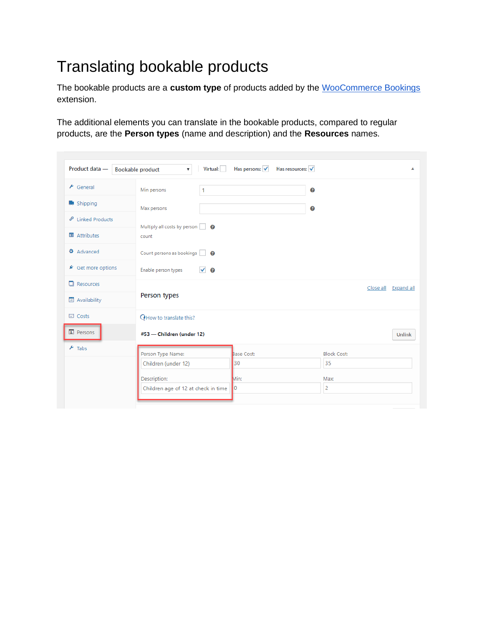# Translating bookable products

The bookable products are a **custom type** of products added by the [WooCommerce Bookings](http://www.woothemes.com/products/woocommerce-bookings/?tsid=14dde982a9f3acf6c185ab11b06cb41c)  extension.

The additional elements you can translate in the bookable products, compared to regular products, are the **Person types** (name and description) and the **Resources** names.

| Product data -                      | Virtual:<br><b>Bookable product</b><br>▼. | Has persons: V | Has resources: V   | ▲                    |  |
|-------------------------------------|-------------------------------------------|----------------|--------------------|----------------------|--|
| $\bigtriangledown$ General          | Min persons<br>1                          |                | $\bullet$          |                      |  |
| Shipping                            | Max persons                               |                | ◙                  |                      |  |
| <b><i>&amp;</i></b> Linked Products | Multiply all costs by person   8          |                |                    |                      |  |
| <b>E</b> Attributes                 | count                                     |                |                    |                      |  |
| <b><math>\Phi</math></b> Advanced   | Count persons as bookings                 |                |                    |                      |  |
| ★ Get more options                  | Enable person types<br>$\checkmark$ 0     |                |                    |                      |  |
| $\Box$ Resources                    |                                           |                |                    | Close all Expand all |  |
| <b>in</b> Availability              | Person types                              |                |                    |                      |  |
| $\Box$ Costs                        | <b>Q</b> How to translate this?           |                |                    |                      |  |
| <b>A</b> Persons                    | #53 - Children (under 12)                 |                |                    | Unlink               |  |
| $\frac{1}{\sqrt{2}}$ Tabs           | Person Type Name:                         | Base Cost:     | <b>Block Cost:</b> |                      |  |
|                                     | Children (under 12)                       | 30             | 35                 |                      |  |
|                                     | Description:                              | Min:           | Max:               |                      |  |
|                                     | Children age of 12 at check in time       | 10             | 2                  |                      |  |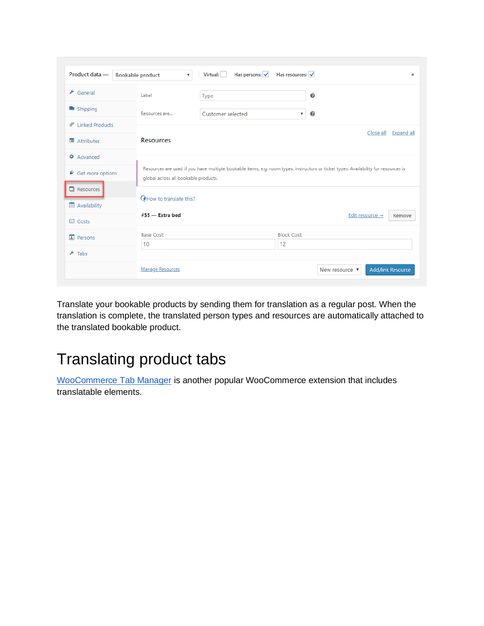| Product data -                    | <b>Bookable product</b>              | Has persons: V<br>Virtual:<br>Has resources: V<br>$\pmb{\mathrm{v}}$<br>▴                                                           |         |                                       |  |  |  |
|-----------------------------------|--------------------------------------|-------------------------------------------------------------------------------------------------------------------------------------|---------|---------------------------------------|--|--|--|
| $\bigtriangledown$ General        | Label                                | Type                                                                                                                                | ℯ       |                                       |  |  |  |
| Shipping                          | Resources are                        | Customer selected                                                                                                                   | ℯ<br>۷. |                                       |  |  |  |
| $\mathscr{O}$ Linked Products     |                                      |                                                                                                                                     |         |                                       |  |  |  |
| <b>国</b> Attributes               | <b>Resources</b>                     | Close all Expand all                                                                                                                |         |                                       |  |  |  |
| <b><math>\Phi</math></b> Advanced |                                      |                                                                                                                                     |         |                                       |  |  |  |
| ▲ Get more options                | global across all bookable products. | Resources are used if you have multiple bookable items, e.g. room types, instructors or ticket types. Availability for resources is |         |                                       |  |  |  |
| $\Box$ Resources                  |                                      | <b>Q</b> How to translate this?                                                                                                     |         |                                       |  |  |  |
| Availability                      |                                      |                                                                                                                                     |         |                                       |  |  |  |
| $\Box$ Costs                      | $#55$ - Extra bed                    |                                                                                                                                     |         | Edit resource $\rightarrow$<br>Remove |  |  |  |
| $\boxed{4}$ Persons               | <b>Base Cost:</b>                    |                                                                                                                                     |         | <b>Block Cost:</b>                    |  |  |  |
| $\frac{1}{2}$ Tabs                | 10                                   |                                                                                                                                     | 12      |                                       |  |  |  |
|                                   |                                      |                                                                                                                                     |         |                                       |  |  |  |

Translate your bookable products by sending them for translation as a regular post. When the translation is complete, the translated person types and resources are automatically attached to the translated bookable product.

## Translating product tabs

[WooCommerce Tab Manager](http://www.woothemes.com/products/woocommerce-tab-manager/) is another popular WooCommerce extension that includes translatable elements.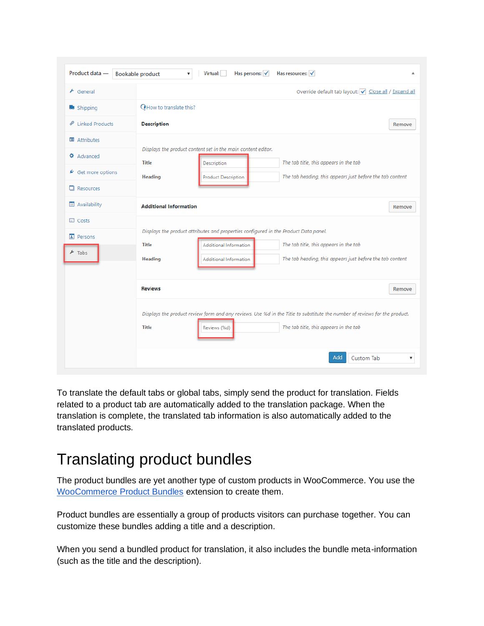| Product data -                                      | Has resources: V<br><b>Bookable product</b><br>Virtual:<br>Has persons: V<br>v<br>▲                                                                                                                                                                                               |
|-----------------------------------------------------|-----------------------------------------------------------------------------------------------------------------------------------------------------------------------------------------------------------------------------------------------------------------------------------|
| $\bigstar$ General                                  | Override default tab layout: v Close all / Expand all                                                                                                                                                                                                                             |
| Shipping                                            | <b>Q</b> How to translate this?                                                                                                                                                                                                                                                   |
| <b>Linked Products</b><br>ℰ                         | <b>Description</b><br>Remove                                                                                                                                                                                                                                                      |
| 国 Attributes                                        |                                                                                                                                                                                                                                                                                   |
| <b>☆</b> Advanced<br>★ Get more options             | Displays the product content set in the main content editor.<br>The tab title, this appears in the tab<br><b>Title</b><br>Description<br>The tab heading, this appears just before the tab content<br><b>Heading</b><br><b>Product Description</b>                                |
| $\Box$ Resources                                    |                                                                                                                                                                                                                                                                                   |
| <b>in</b> Availability                              | <b>Additional Information</b><br>Remove                                                                                                                                                                                                                                           |
| $\Box$ Costs<br>$\boxed{1}$ Persons<br>$\star$ Tabs | Displays the product attributes and properties configured in the Product Data panel.<br>The tab title, this appears in the tab<br><b>Title</b><br>Additional Information<br>The tab heading, this appears just before the tab content<br><b>Heading</b><br>Additional Information |
|                                                     | <b>Reviews</b><br>Remove                                                                                                                                                                                                                                                          |
|                                                     | Displays the product review form and any reviews. Use %d in the Title to substitute the number of reviews for the product.<br>The tab title, this appears in the tab<br><b>Title</b><br>Reviews (%d)                                                                              |
|                                                     | Add<br>Custom Tab<br>۷                                                                                                                                                                                                                                                            |

To translate the default tabs or global tabs, simply send the product for translation. Fields related to a product tab are automatically added to the translation package. When the translation is complete, the translated tab information is also automatically added to the translated products.

### Translating product bundles

The product bundles are yet another type of custom products in WooCommerce. You use the [WooCommerce Product Bundles](http://www.woothemes.com/products/product-bundles/) extension to create them.

Product bundles are essentially a group of products visitors can purchase together. You can customize these bundles adding a title and a description.

When you send a bundled product for translation, it also includes the bundle meta-information (such as the title and the description).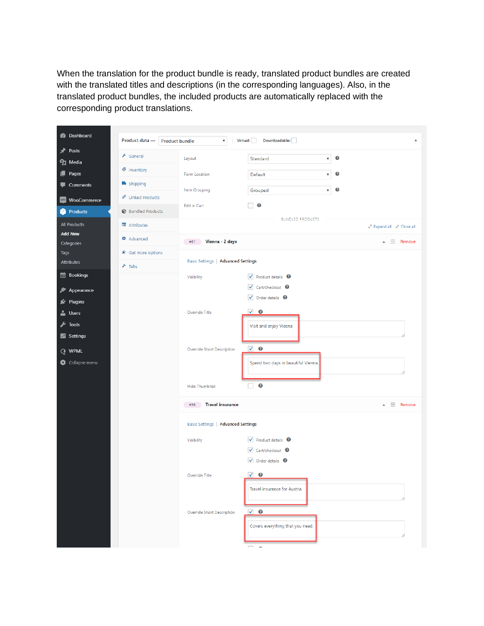When the translation for the product bundle is ready, translated product bundles are created with the translated titles and descriptions (in the corresponding languages). Also, in the translated product bundles, the included products are automatically replaced with the corresponding product translations.

| <b>2</b> Dashboard              | Product data -<br><b>Product bundle</b> | $\pmb{\mathrm{v}}$                        | Downloadable:<br>Virtual:<br>А                            |
|---------------------------------|-----------------------------------------|-------------------------------------------|-----------------------------------------------------------|
| ∗<br>Posts                      |                                         |                                           |                                                           |
| <b>g</b> Media                  | General                                 | Layout                                    | ℯ<br>Standard<br>$\pmb{\mathrm{v}}$                       |
| Pages                           | nventory                                | Form Location                             | Ø<br>Default<br>$\pmb{\mathrm{v}}$                        |
| Comments                        | Shipping                                | Item Grouping                             | Ø<br>Grouped<br>$\pmb{\mathrm{v}}$                        |
| WooCommerce<br>MDD <sub>1</sub> | <i>●</i> Linked Products                |                                           |                                                           |
| Products                        | Bundled Products                        | Edit in Cart                              | Ø                                                         |
| All Products                    | Attributes                              |                                           | <b>BUNDLED PRODUCTS</b><br>LA Expand all A Close all      |
| <b>Add New</b><br>Categories    | <b>☆</b> Advanced                       | Vienna - 2 days<br>#61                    | $\overline{=}$ Remove                                     |
| Tags                            | ★ Get more options                      |                                           |                                                           |
| <b>Attributes</b>               | $\frac{1}{\sqrt{2}}$ Tabs               | <b>Basic Settings   Advanced Settings</b> |                                                           |
| Bookings                        |                                         | Visibility                                | $\blacktriangledown$ Product details $\blacktriangledown$ |
| Appearance<br>ℱ                 |                                         |                                           | √ Cart/checkout <sup>●</sup>                              |
| Plugins                         |                                         |                                           | $\vee$ Order details $\odot$                              |
| ∸<br><b>Users</b>               |                                         | Override Title                            | $\vee$ 0                                                  |
| Tools<br>y                      |                                         |                                           | Visit and enjoy Vieena                                    |
| <b>ET</b> Settings              |                                         |                                           |                                                           |
| <b>Q</b> WPML                   |                                         | Override Short Description                | $\checkmark$<br>$\bf{P}$                                  |
| Collapse menu                   |                                         |                                           | Spend two days in beautiful Vienna                        |
|                                 |                                         |                                           |                                                           |
|                                 |                                         | Hide Thumbnail                            | $\boldsymbol{c}$                                          |
|                                 |                                         | <b>Travel insurance</b><br>#59            | $\triangle$ $\equiv$ Remove                               |
|                                 |                                         | <b>Basic Settings   Advanced Settings</b> |                                                           |
|                                 |                                         | Visibility                                | $\blacktriangledown$ Product details $\blacktriangledown$ |
|                                 |                                         |                                           | √ Cart/checkout <sup>●</sup>                              |
|                                 |                                         |                                           | $\vee$ Order details $\odot$                              |
|                                 |                                         | Override Title                            | $\checkmark$<br>$\bf{c}$                                  |
|                                 |                                         |                                           | Travel insurance for Austria                              |
|                                 |                                         |                                           |                                                           |
|                                 |                                         | Override Short Description                | $\vee$ 0                                                  |
|                                 |                                         |                                           | Covers everything that you need.                          |
|                                 |                                         |                                           |                                                           |
|                                 |                                         |                                           |                                                           |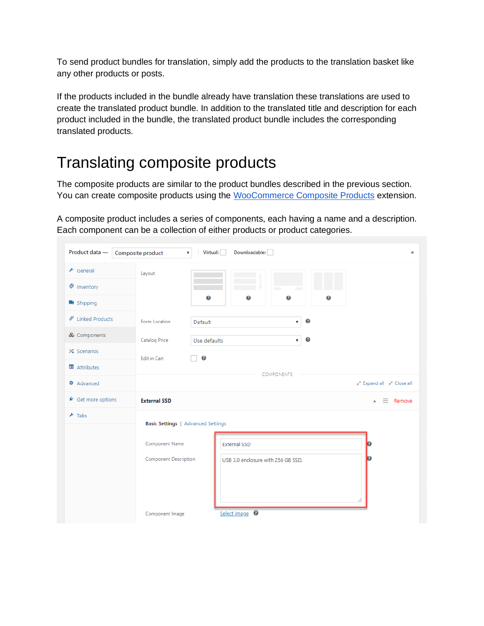To send product bundles for translation, simply add the products to the translation basket like any other products or posts.

If the products included in the bundle already have translation these translations are used to create the translated product bundle. In addition to the translated title and description for each product included in the bundle, the translated product bundle includes the corresponding translated products.

### Translating composite products

The composite products are similar to the product bundles described in the previous section. You can create composite products using the [WooCommerce Composite Products](http://www.woothemes.com/products/composite-products/) extension.

A composite product includes a series of components, each having a name and a description. Each component can be a collection of either products or product categories.

| Product data -                      | Virtual:<br>Downloadable:<br>Composite product<br>$\boldsymbol{\mathrm{v}}$<br>▲ |
|-------------------------------------|----------------------------------------------------------------------------------|
| $\bigtriangledown$ General          | Layout                                                                           |
| ♦ Inventory                         |                                                                                  |
| shipping                            | $\bullet$<br>$\bullet$<br>$\boldsymbol{\Omega}$<br>Ø                             |
| <b><i>&amp;</i></b> Linked Products | Ø<br>Form Location<br>Default<br>$\pmb{\mathrm{v}}$                              |
| & Components                        | Ø<br><b>Catalog Price</b><br>Use defaults<br>۷.                                  |
| $\infty$ Scenarios                  | $\bullet$<br><b>Edit in Cart</b>                                                 |
| <b>国</b> Attributes                 | COMPONENTS                                                                       |
| <b><math>\Phi</math></b> Advanced   | LA Expand all A <sup>K</sup> Close all                                           |
| ▲ Get more options                  | <b>External SSD</b><br>Remove<br>$=$<br>$\blacktriangle$                         |
| $\sqrt{\frac{1}{2}}$ Tabs           | <b>Basic Settings   Advanced Settings</b>                                        |
|                                     |                                                                                  |
|                                     | Component Name<br><b>External SSD</b><br>n                                       |
|                                     | <b>Component Description</b><br>USB 3.0 enclosure with 256 GB SSD.               |
|                                     |                                                                                  |
|                                     |                                                                                  |
|                                     | Select image <sup>0</sup><br>Component Image                                     |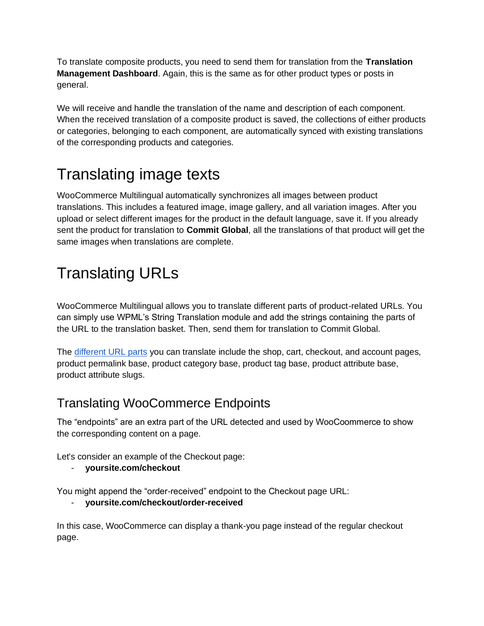To translate composite products, you need to send them for translation from the **Translation Management Dashboard**. Again, this is the same as for other product types or posts in general.

We will receive and handle the translation of the name and description of each component. When the received translation of a composite product is saved, the collections of either products or categories, belonging to each component, are automatically synced with existing translations of the corresponding products and categories.

# Translating image texts

WooCommerce Multilingual automatically synchronizes all images between product translations. This includes a featured image, image gallery, and all variation images. After you upload or select different images for the product in the default language, save it. If you already sent the product for translation to **Commit Global**, all the translations of that product will get the same images when translations are complete.

# Translating URLs

WooCommerce Multilingual allows you to translate different parts of product-related URLs. You can simply use WPML's String Translation module and add the strings containing the parts of the URL to the translation basket. Then, send them for translation to Commit Global.

The [different URL parts](https://wpml.org/documentation/related-projects/woocommerce-multilingual/#translating-urls/?tsid=14dde982a9f3acf6c185ab11b06cb41c) you can translate include the shop, cart, checkout, and account pages, product permalink base, product category base, product tag base, product attribute base, product attribute slugs.

#### Translating WooCommerce Endpoints

The "endpoints" are an extra part of the URL detected and used by WooCoommerce to show the corresponding content on a page.

Let's consider an example of the Checkout page:

- **yoursite.com/checkout** 

You might append the "order-received" endpoint to the Checkout page URL:

#### - **yoursite.com/checkout/order-received**

In this case, WooCommerce can display a thank-you page instead of the regular checkout page.